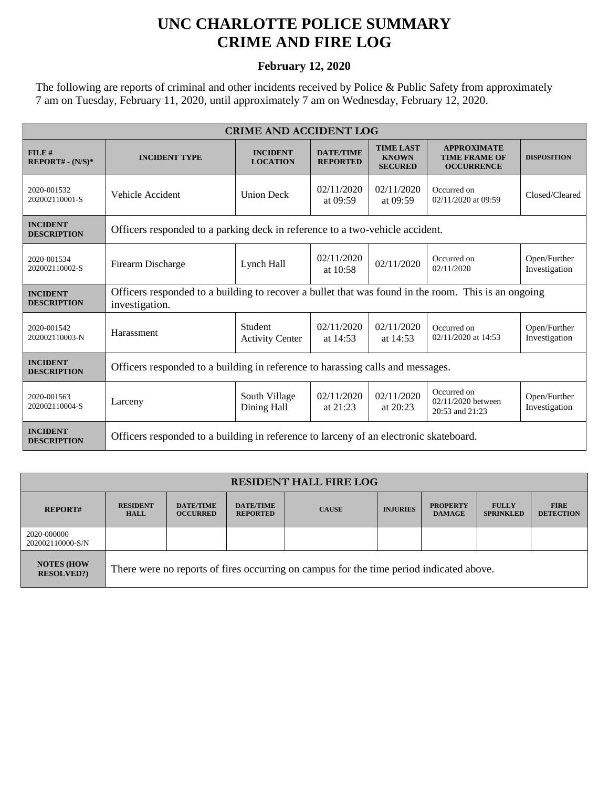## **UNC CHARLOTTE POLICE SUMMARY CRIME AND FIRE LOG**

## **February 12, 2020**

The following are reports of criminal and other incidents received by Police & Public Safety from approximately 7 am on Tuesday, February 11, 2020, until approximately 7 am on Wednesday, February 12, 2020.

| <b>CRIME AND ACCIDENT LOG</b>         |                                                                                                                       |                                    |                                     |                                                    |                                                                 |                               |  |
|---------------------------------------|-----------------------------------------------------------------------------------------------------------------------|------------------------------------|-------------------------------------|----------------------------------------------------|-----------------------------------------------------------------|-------------------------------|--|
| FILE#<br>$REPORT# - (N/S)*$           | <b>INCIDENT TYPE</b>                                                                                                  | <b>INCIDENT</b><br><b>LOCATION</b> | <b>DATE/TIME</b><br><b>REPORTED</b> | <b>TIME LAST</b><br><b>KNOWN</b><br><b>SECURED</b> | <b>APPROXIMATE</b><br><b>TIME FRAME OF</b><br><b>OCCURRENCE</b> | <b>DISPOSITION</b>            |  |
| 2020-001532<br>202002110001-S         | Vehicle Accident                                                                                                      | <b>Union Deck</b>                  | 02/11/2020<br>at 09:59              | 02/11/2020<br>at 09:59                             | Occurred on<br>02/11/2020 at 09:59                              | Closed/Cleared                |  |
| <b>INCIDENT</b><br><b>DESCRIPTION</b> | Officers responded to a parking deck in reference to a two-vehicle accident.                                          |                                    |                                     |                                                    |                                                                 |                               |  |
| 2020-001534<br>202002110002-S         | Firearm Discharge                                                                                                     | Lynch Hall                         | 02/11/2020<br>at $10:58$            | 02/11/2020                                         | Occurred on<br>02/11/2020                                       | Open/Further<br>Investigation |  |
| <b>INCIDENT</b><br><b>DESCRIPTION</b> | Officers responded to a building to recover a bullet that was found in the room. This is an ongoing<br>investigation. |                                    |                                     |                                                    |                                                                 |                               |  |
| 2020-001542<br>202002110003-N         | Harassment                                                                                                            | Student<br><b>Activity Center</b>  | 02/11/2020<br>at $14:53$            | 02/11/2020<br>at 14:53                             | Occurred on<br>02/11/2020 at 14:53                              | Open/Further<br>Investigation |  |
| <b>INCIDENT</b><br><b>DESCRIPTION</b> | Officers responded to a building in reference to harassing calls and messages.                                        |                                    |                                     |                                                    |                                                                 |                               |  |
| 2020-001563<br>202002110004-S         | Larceny                                                                                                               | South Village<br>Dining Hall       | 02/11/2020<br>at $21:23$            | 02/11/2020<br>at $20:23$                           | Occurred on<br>02/11/2020 between<br>20:53 and 21:23            | Open/Further<br>Investigation |  |
| <b>INCIDENT</b><br><b>DESCRIPTION</b> | Officers responded to a building in reference to larceny of an electronic skateboard.                                 |                                    |                                     |                                                    |                                                                 |                               |  |

| <b>RESIDENT HALL FIRE LOG</b>         |                                                                                         |                                     |                                     |              |                 |                                  |                                  |                                 |
|---------------------------------------|-----------------------------------------------------------------------------------------|-------------------------------------|-------------------------------------|--------------|-----------------|----------------------------------|----------------------------------|---------------------------------|
| <b>REPORT#</b>                        | <b>RESIDENT</b><br><b>HALL</b>                                                          | <b>DATE/TIME</b><br><b>OCCURRED</b> | <b>DATE/TIME</b><br><b>REPORTED</b> | <b>CAUSE</b> | <b>INJURIES</b> | <b>PROPERTY</b><br><b>DAMAGE</b> | <b>FULLY</b><br><b>SPRINKLED</b> | <b>FIRE</b><br><b>DETECTION</b> |
| 2020-000000<br>202002110000-S/N       |                                                                                         |                                     |                                     |              |                 |                                  |                                  |                                 |
| <b>NOTES (HOW</b><br><b>RESOLVED?</b> | There were no reports of fires occurring on campus for the time period indicated above. |                                     |                                     |              |                 |                                  |                                  |                                 |